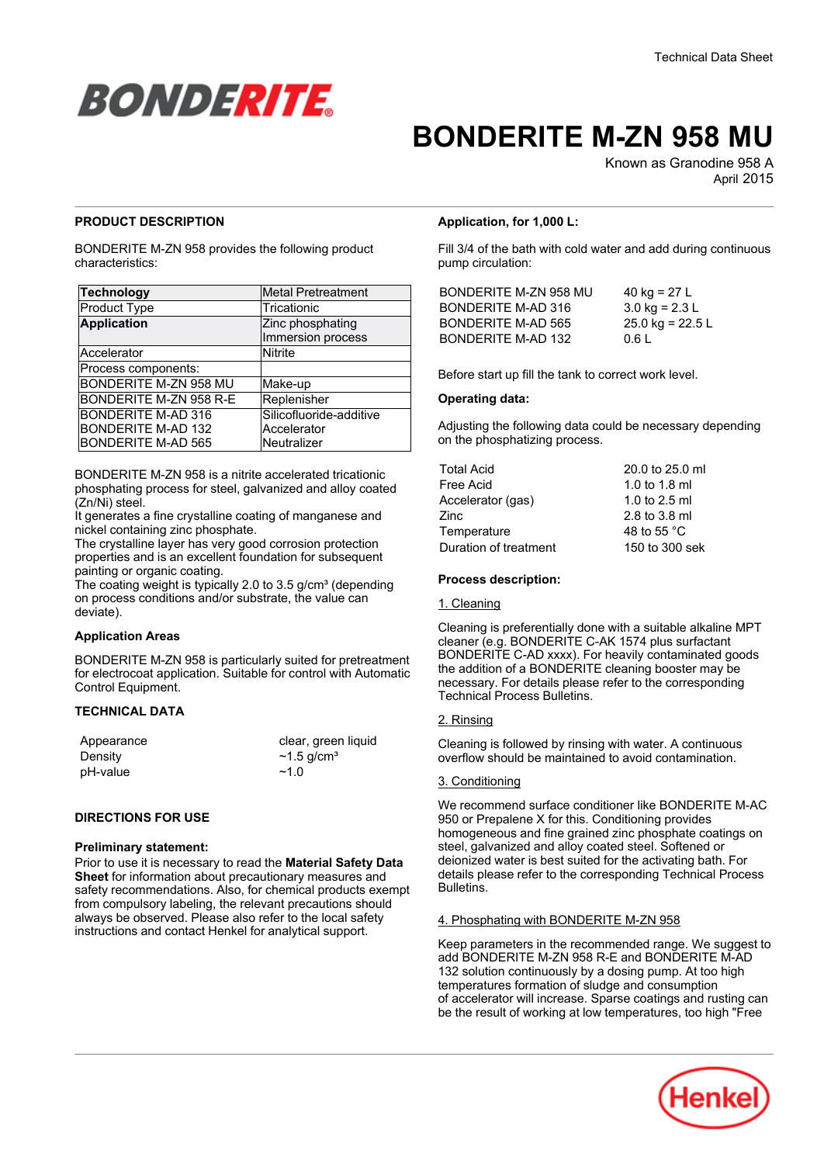

# **BONDERITE M-ZN 958 MU**

Known as Granodine 958 A April-2015

# **PRODUCT DESCRIPTION**

BONDERITE M-ZN 958 provides the following product characteristics:

| <b>Technology</b>         | <b>Metal Pretreatment</b>             |
|---------------------------|---------------------------------------|
| Product Type              | Tricationic                           |
| <b>Application</b>        | Zinc phosphating<br>Immersion process |
| Accelerator               | <b>Nitrite</b>                        |
| Process components:       |                                       |
| BONDERITE M-ZN 958 MU     | Make-up                               |
| BONDERITE M-ZN 958 R-E    | Replenisher                           |
| <b>BONDERITE M-AD 316</b> | Silicofluoride-additive               |
| <b>BONDERITE M-AD 132</b> | Accelerator                           |
| <b>BONDERITE M-AD 565</b> | Neutralizer                           |

BONDERITE M-ZN 958 is a nitrite accelerated tricationic phosphating process for steel, galvanized and alloy coated (Zn/Ni) steel.

It generates a fine crystalline coating of manganese and nickel containing zinc phosphate.

The crystalline layer has very good corrosion protection properties and is an excellent foundation for subsequent painting or organic coating.

The coating weight is typically 2.0 to 3.5 g/cm $3$  (depending on process conditions and/or substrate, the value can deviate).

# **Application Areas**

BONDERITE M-ZN 958 is particularly suited for pretreatment for electrocoat application. Suitable for control with Automatic Control Equipment.

# **TECHNICAL DATA**

| Appearance | clear, green liquid          |
|------------|------------------------------|
| Density    | $\sim$ 1.5 g/cm <sup>3</sup> |
| pH-value   | ~1.0                         |

# **DIRECTIONS FOR USE**

# **Preliminary statement:**

Prior to use it is necessary to read the **Material Safety Data Sheet** for information about precautionary measures and safety recommendations. Also, for chemical products exempt from compulsory labeling, the relevant precautions should always be observed. Please also refer to the local safety instructions and contact Henkel for analytical support.

# **Application, for 1,000 L:**

Fill 3/4 of the bath with cold water and add during continuous pump circulation:

| BONDERITE M-ZN 958 MU | 40 kg = $27 L$     |
|-----------------------|--------------------|
| BONDERITE M-AD 316    | 3.0 kg = $2.3 L$   |
| BONDERITE M-AD 565    | 25.0 kg = $22.5 L$ |
| BONDERITE M-AD 132    | 0.6 L              |

Before start up fill the tank to correct work level.

### **Operating data:**

Adjusting the following data could be necessary depending on the phosphatizing process.

| <b>Total Acid</b>     | 20.0 to 25.0 ml       |
|-----------------------|-----------------------|
| Free Acid             | 1.0 to 1.8 ml         |
| Accelerator (gas)     | 1.0 to 2.5 ml         |
| Zinc                  | 2.8 to 3.8 ml         |
| Temperature           | 48 to 55 $^{\circ}$ C |
| Duration of treatment | 150 to 300 sek        |
|                       |                       |

# **Process description:**

### 1. Cleaning

Cleaning is preferentially done with a suitable alkaline MPT cleaner (e.g. BONDERITE C-AK 1574 plus surfactant BONDERITE C-AD xxxx). For heavily contaminated goods the addition of a BONDERITE cleaning booster may be necessary. For details please refer to the corresponding Technical Process Bulletins.

# 2. Rinsing

Cleaning is followed by rinsing with water. A continuous overflow should be maintained to avoid contamination.

### 3. Conditioning

We recommend surface conditioner like BONDERITE M-AC 950 or Prepalene X for this. Conditioning provides homogeneous and fine grained zinc phosphate coatings on steel, galvanized and alloy coated steel. Softened or deionized water is best suited for the activating bath. For details please refer to the corresponding Technical Process Bulletins.

### 4. Phosphating with BONDERITE M-ZN 958

Keep parameters in the recommended range. We suggest to add BONDERITE M-ZN 958 R-E and BONDERITE M-AD 132 solution continuously by a dosing pump. At too high temperatures formation of sludge and consumption of accelerator will increase. Sparse coatings and rusting can be the result of working at low temperatures, too high "Free

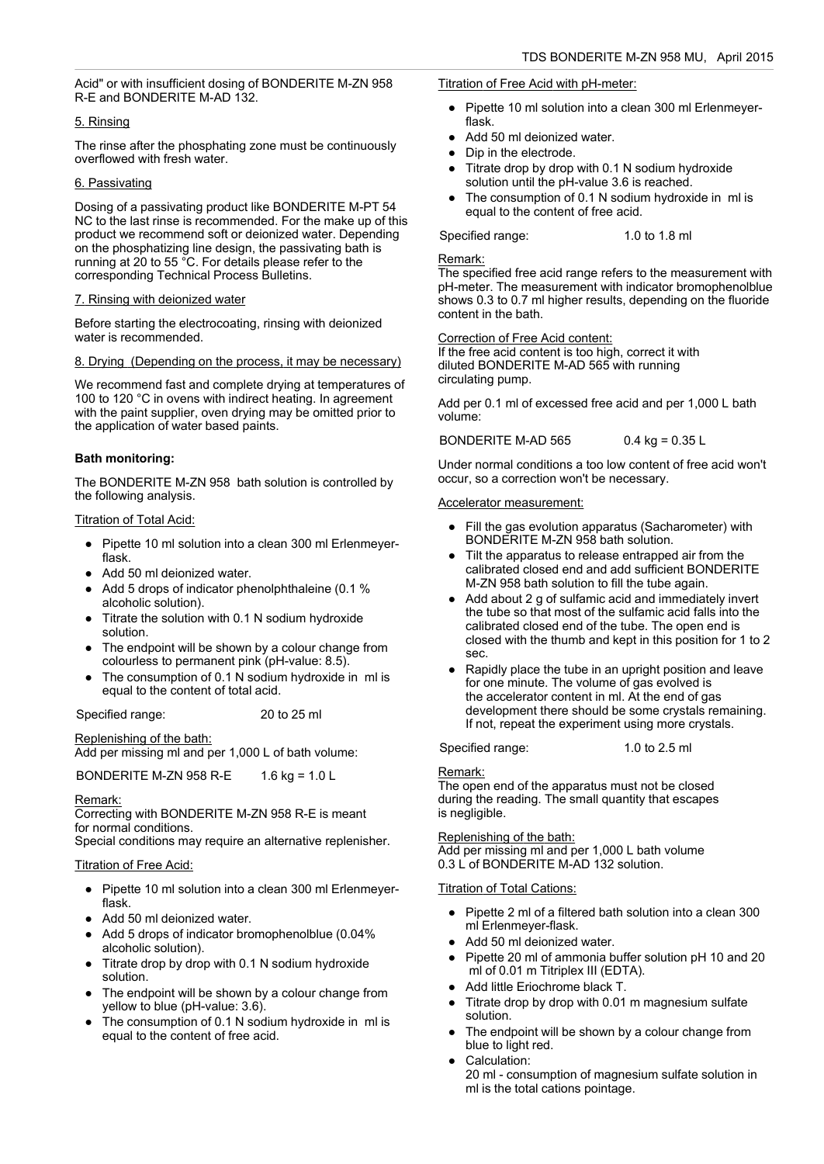Acid" or with insufficient dosing of BONDERITE M-ZN 958 R-E and BONDERITE M-AD 132.

# 5. Rinsing

The rinse after the phosphating zone must be continuously overflowed with fresh water.

# 6. Passivating

Dosing of a passivating product like BONDERITE M-PT 54 NC to the last rinse is recommended. For the make up of this product we recommend soft or deionized water. Depending on the phosphatizing line design, the passivating bath is running at 20 to 55 °C. For details please refer to the corresponding Technical Process Bulletins.

# 7. Rinsing with deionized water

Before starting the electrocoating, rinsing with deionized water is recommended.

# 8. Drying (Depending on the process, it may be necessary)

We recommend fast and complete drying at temperatures of 100 to 120 °C in ovens with indirect heating. In agreement with the paint supplier, oven drying may be omitted prior to the application of water based paints.

# **Bath monitoring:**

The BONDERITE M-ZN 958 bath solution is controlled by the following analysis.

# Titration of Total Acid:

- Pipette 10 ml solution into a clean 300 ml Erlenmeyerflask.
- Add 50 ml deionized water.
- Add 5 drops of indicator phenolphthaleine (0.1 % alcoholic solution).
- Titrate the solution with 0.1 N sodium hydroxide solution.
- The endpoint will be shown by a colour change from colourless to permanent pink (pH-value: 8.5).
- The consumption of 0.1 N sodium hydroxide in ml is equal to the content of total acid.

Specified range: 20 to 25 ml

Replenishing of the bath:

Add per missing ml and per 1,000 L of bath volume:

BONDERITE M-ZN 958 R-E 1.6 kg = 1.0 L

### Remark:

Correcting with BONDERITE M-ZN 958 R-E is meant for normal conditions. Special conditions may require an alternative replenisher.

# Titration of Free Acid:

- Pipette 10 ml solution into a clean 300 ml Erlenmeyerflask.
- Add 50 ml deionized water.
- Add 5 drops of indicator bromophenolblue (0.04% alcoholic solution).
- Titrate drop by drop with 0.1 N sodium hydroxide solution.
- The endpoint will be shown by a colour change from yellow to blue (pH-value: 3.6).
- The consumption of 0.1 N sodium hydroxide in ml is equal to the content of free acid.

#### Titration of Free Acid with pH-meter:

- Pipette 10 ml solution into a clean 300 ml Erlenmeyerflask.
- Add 50 ml deionized water.
- Dip in the electrode.
- Titrate drop by drop with 0.1 N sodium hydroxide solution until the pH-value 3.6 is reached.
- The consumption of 0.1 N sodium hydroxide in ml is equal to the content of free acid.

Specified range: 1.0 to 1.8 ml

# Remark:

The specified free acid range refers to the measurement with pH-meter. The measurement with indicator bromophenolblue shows 0.3 to 0.7 ml higher results, depending on the fluoride content in the bath.

Correction of Free Acid content:

If the free acid content is too high, correct it with diluted BONDERITE M-AD 565 with running circulating pump.

Add per 0.1 ml of excessed free acid and per 1,000 L bath volume:

BONDERITE M-AD 565 0.4 kg = 0.35 L

Under normal conditions a too low content of free acid won't occur, so a correction won't be necessary.

# Accelerator measurement:

- Fill the gas evolution apparatus (Sacharometer) with BONDERITE M-ZN 958 bath solution.
- Tilt the apparatus to release entrapped air from the calibrated closed end and add sufficient BONDERITE M-ZN 958 bath solution to fill the tube again.
- Add about 2 g of sulfamic acid and immediately invert the tube so that most of the sulfamic acid falls into the calibrated closed end of the tube. The open end is closed with the thumb and kept in this position for 1 to 2 sec.
- Rapidly place the tube in an upright position and leave for one minute. The volume of gas evolved is the accelerator content in ml. At the end of gas development there should be some crystals remaining. If not, repeat the experiment using more crystals.

Specified range: 1.0 to 2.5 ml

# Remark:

The open end of the apparatus must not be closed during the reading. The small quantity that escapes is negligible.

### Replenishing of the bath:

Add per missing ml and per 1,000 L bath volume 0.3 L of BONDERITE M-AD 132 solution.

### Titration of Total Cations:

- Pipette 2 ml of a filtered bath solution into a clean 300 ml Erlenmeyer-flask.
- Add 50 ml deionized water.
- Pipette 20 ml of ammonia buffer solution pH 10 and 20 ml of 0.01 m Titriplex III (EDTA).
- Add little Eriochrome black T.
- Titrate drop by drop with 0.01 m magnesium sulfate solution.
- The endpoint will be shown by a colour change from blue to light red.
- Calculation:
	- 20 ml consumption of magnesium sulfate solution in ml is the total cations pointage.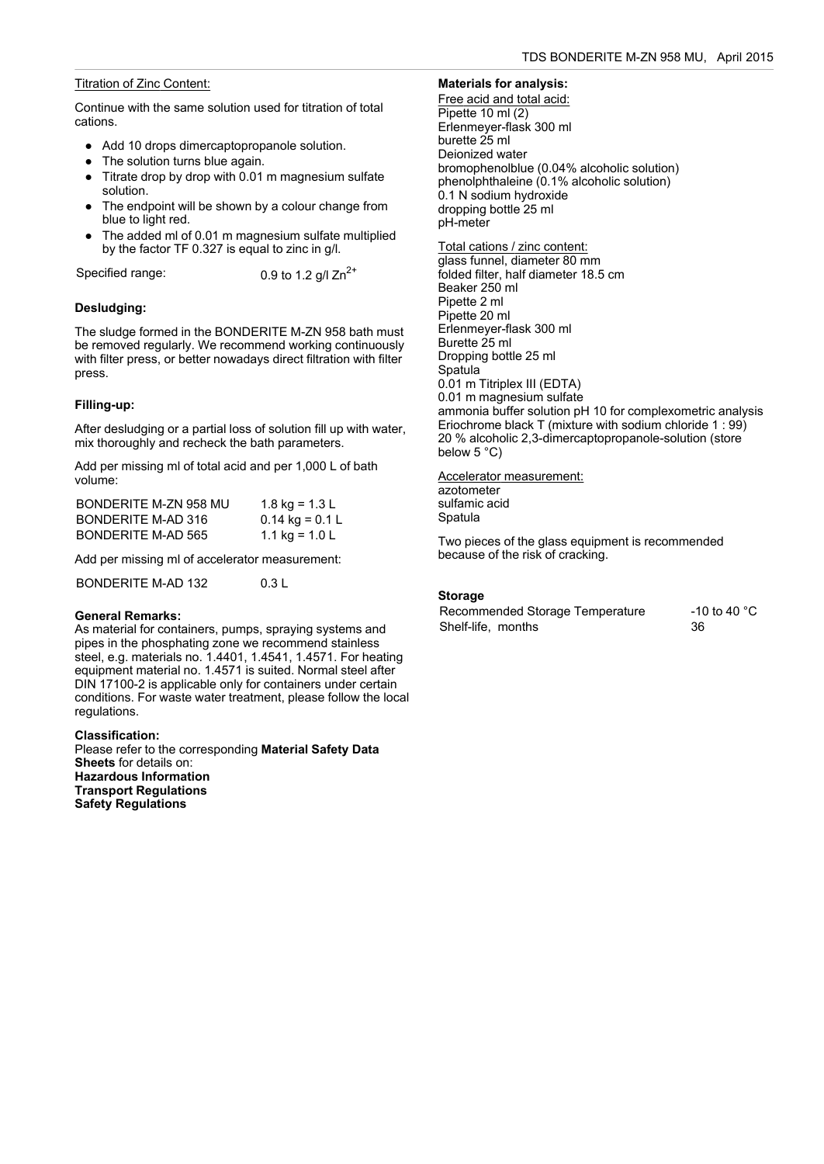# Titration of Zinc Content:

Continue with the same solution used for titration of total cations.

- Add 10 drops dimercaptopropanole solution.
- The solution turns blue again.
- Titrate drop by drop with 0.01 m magnesium sulfate solution.
- The endpoint will be shown by a colour change from blue to light red.
- The added ml of 0.01 m magnesium sulfate multiplied by the factor TF 0.327 is equal to zinc in g/l.

Specified range:  $0.9$  to 1.2 g/l Zn<sup>2+</sup>

# **Desludging:**

The sludge formed in the BONDERITE M-ZN 958 bath must be removed regularly. We recommend working continuously with filter press, or better nowadays direct filtration with filter press.

# **Filling-up:**

After desludging or a partial loss of solution fill up with water, mix thoroughly and recheck the bath parameters.

Add per missing ml of total acid and per 1,000 L of bath volume:

| BONDERITE M-ZN 958 MU | 1.8 kg = 1.3 L    |
|-----------------------|-------------------|
| BONDERITE M-AD 316    | $0.14$ kg = 0.1 L |
| BONDERITE M-AD 565    | 1.1 kg = $1.0 L$  |

Add per missing ml of accelerator measurement:

BONDERITE M-AD 132 0.3 L

# **General Remarks:**

As material for containers, pumps, spraying systems and pipes in the phosphating zone we recommend stainless steel, e.g. materials no. 1.4401, 1.4541, 1.4571. For heating equipment material no. 1.4571 is suited. Normal steel after DIN 17100-2 is applicable only for containers under certain conditions. For waste water treatment, please follow the local regulations.

### **Classification:**

Please refer to the corresponding **Material Safety Data Sheets** for details on: **Hazardous Information Transport Regulations Safety Regulations**

# **Materials for analysis:**

Free acid and total acid: Pipette 10 ml (2) Erlenmeyer-flask 300 ml burette 25 ml Deionized water bromophenolblue (0.04% alcoholic solution) phenolphthaleine (0.1% alcoholic solution) 0.1 N sodium hydroxide dropping bottle 25 ml pH-meter

Total cations / zinc content: glass funnel, diameter 80 mm folded filter, half diameter 18.5 cm Beaker 250 ml Pipette 2 ml Pipette 20 ml Erlenmeyer-flask 300 ml Burette 25 ml Dropping bottle 25 ml Spatula 0.01 m Titriplex III (EDTA) 0.01 m magnesium sulfate ammonia buffer solution pH 10 for complexometric analysis Eriochrome black T (mixture with sodium chloride 1 : 99) 20 % alcoholic 2,3-dimercaptopropanole-solution (store below 5 °C)

Accelerator measurement: azotometer sulfamic acid Spatula

Two pieces of the glass equipment is recommended because of the risk of cracking.

# **Storage**

Recommended Storage Temperature -10 to 40 °C Shelf-life, months 36